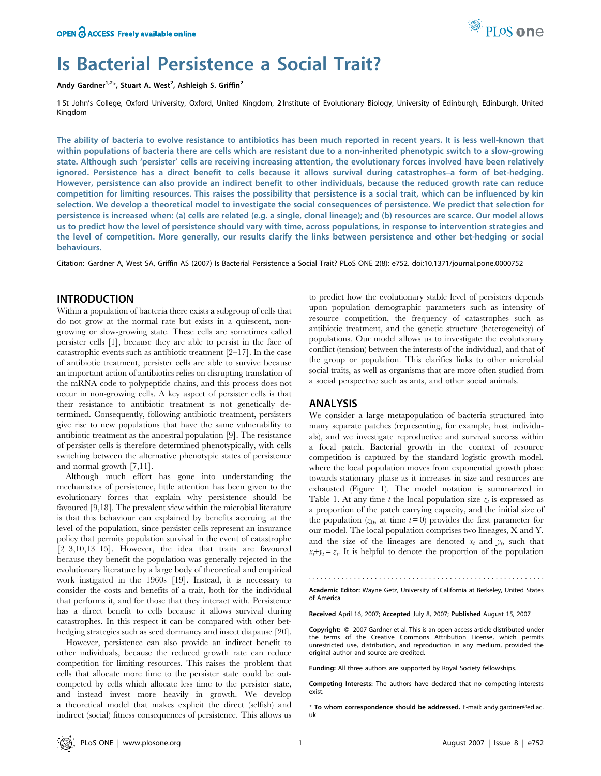

# Is Bacterial Persistence a Social Trait?

Andy Gardner<sup>1,2\*</sup>, Stuart A. West<sup>2</sup>, Ashleigh S. Griffin<sup>2</sup>

1 St John's College, Oxford University, Oxford, United Kingdom, 2 Institute of Evolutionary Biology, University of Edinburgh, Edinburgh, United Kingdom

The ability of bacteria to evolve resistance to antibiotics has been much reported in recent years. It is less well-known that within populations of bacteria there are cells which are resistant due to a non-inherited phenotypic switch to a slow-growing state. Although such 'persister' cells are receiving increasing attention, the evolutionary forces involved have been relatively ignored. Persistence has a direct benefit to cells because it allows survival during catastrophes–a form of bet-hedging. However, persistence can also provide an indirect benefit to other individuals, because the reduced growth rate can reduce competition for limiting resources. This raises the possibility that persistence is a social trait, which can be influenced by kin selection. We develop a theoretical model to investigate the social consequences of persistence. We predict that selection for persistence is increased when: (a) cells are related (e.g. a single, clonal lineage); and (b) resources are scarce. Our model allows us to predict how the level of persistence should vary with time, across populations, in response to intervention strategies and the level of competition. More generally, our results clarify the links between persistence and other bet-hedging or social behaviours.

Citation: Gardner A, West SA, Griffin AS (2007) Is Bacterial Persistence a Social Trait? PLoS ONE 2(8): e752. doi:10.1371/journal.pone.0000752

# INTRODUCTION

Within a population of bacteria there exists a subgroup of cells that do not grow at the normal rate but exists in a quiescent, nongrowing or slow-growing state. These cells are sometimes called persister cells [1], because they are able to persist in the face of catastrophic events such as antibiotic treatment [2–17]. In the case of antibiotic treatment, persister cells are able to survive because an important action of antibiotics relies on disrupting translation of the mRNA code to polypeptide chains, and this process does not occur in non-growing cells. A key aspect of persister cells is that their resistance to antibiotic treatment is not genetically determined. Consequently, following antibiotic treatment, persisters give rise to new populations that have the same vulnerability to antibiotic treatment as the ancestral population [9]. The resistance of persister cells is therefore determined phenotypically, with cells switching between the alternative phenotypic states of persistence and normal growth [7,11].

Although much effort has gone into understanding the mechanistics of persistence, little attention has been given to the evolutionary forces that explain why persistence should be favoured [9,18]. The prevalent view within the microbial literature is that this behaviour can explained by benefits accruing at the level of the population, since persister cells represent an insurance policy that permits population survival in the event of catastrophe [2–3,10,13–15]. However, the idea that traits are favoured because they benefit the population was generally rejected in the evolutionary literature by a large body of theoretical and empirical work instigated in the 1960s [19]. Instead, it is necessary to consider the costs and benefits of a trait, both for the individual that performs it, and for those that they interact with. Persistence has a direct benefit to cells because it allows survival during catastrophes. In this respect it can be compared with other bethedging strategies such as seed dormancy and insect diapause [20].

However, persistence can also provide an indirect benefit to other individuals, because the reduced growth rate can reduce competition for limiting resources. This raises the problem that cells that allocate more time to the persister state could be outcompeted by cells which allocate less time to the persister state, and instead invest more heavily in growth. We develop a theoretical model that makes explicit the direct (selfish) and indirect (social) fitness consequences of persistence. This allows us to predict how the evolutionary stable level of persisters depends upon population demographic parameters such as intensity of resource competition, the frequency of catastrophes such as antibiotic treatment, and the genetic structure (heterogeneity) of populations. Our model allows us to investigate the evolutionary conflict (tension) between the interests of the individual, and that of the group or population. This clarifies links to other microbial social traits, as well as organisms that are more often studied from a social perspective such as ants, and other social animals.

## ANALYSIS

We consider a large metapopulation of bacteria structured into many separate patches (representing, for example, host individuals), and we investigate reproductive and survival success within a focal patch. Bacterial growth in the context of resource competition is captured by the standard logistic growth model, where the local population moves from exponential growth phase towards stationary phase as it increases in size and resources are exhausted (Figure 1). The model notation is summarized in Table 1. At any time t the local population size  $z_t$  is expressed as a proportion of the patch carrying capacity, and the initial size of the population  $(z_0, \text{ at time } t=0)$  provides the first parameter for our model. The local population comprises two lineages, X and Y, and the size of the lineages are denoted  $x_t$  and  $y_t$ , such that  $x_t + y_t = z_t$ . It is helpful to denote the proportion of the population

Academic Editor: Wayne Getz, University of California at Berkeley, United States of America

Received April 16, 2007; Accepted July 8, 2007; Published August 15, 2007

Copyright: © 2007 Gardner et al. This is an open-access article distributed under the terms of the Creative Commons Attribution License, which permits unrestricted use, distribution, and reproduction in any medium, provided the original author and source are credited.

Funding: All three authors are supported by Royal Society fellowships.

Competing Interests: The authors have declared that no competing interests exist.

\* To whom correspondence should be addressed. E-mail: andy.gardner@ed.ac. uk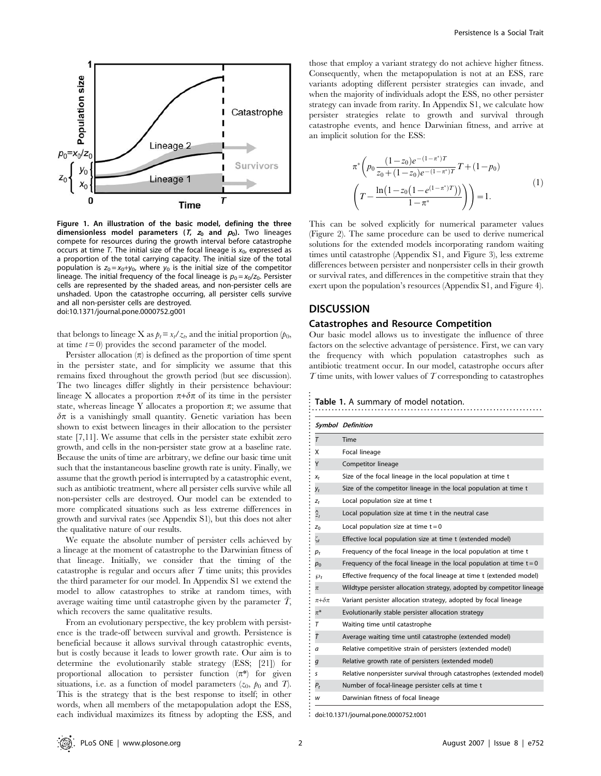

Figure 1. An illustration of the basic model, defining the three dimensionless model parameters ( $T$ ,  $z_0$  and  $p_0$ ). Two lineages compete for resources during the growth interval before catastrophe occurs at time T. The initial size of the focal lineage is  $x_0$ , expressed as a proportion of the total carrying capacity. The initial size of the total population is  $z_0 = x_0 + y_0$ , where  $y_0$  is the initial size of the competitor lineage. The initial frequency of the focal lineage is  $p_0 = x_0/z_0$ . Persister cells are represented by the shaded areas, and non-persister cells are unshaded. Upon the catastrophe occurring, all persister cells survive and all non-persister cells are destroyed. doi:10.1371/journal.pone.0000752.g001

that belongs to lineage X as  $p_t = x_t / z_t$ , and the initial proportion  $(p_0,$ at time  $t=0$  provides the second parameter of the model.

Persister allocation  $(\pi)$  is defined as the proportion of time spent in the persister state, and for simplicity we assume that this remains fixed throughout the growth period (but see discussion). The two lineages differ slightly in their persistence behaviour: lineage X allocates a proportion  $\pi + \delta \pi$  of its time in the persister state, whereas lineage Y allocates a proportion  $\pi$ ; we assume that  $\delta \pi$  is a vanishingly small quantity. Genetic variation has been shown to exist between lineages in their allocation to the persister state [7,11]. We assume that cells in the persister state exhibit zero growth, and cells in the non-persister state grow at a baseline rate. Because the units of time are arbitrary, we define our basic time unit such that the instantaneous baseline growth rate is unity. Finally, we assume that the growth period is interrupted by a catastrophic event, such as antibiotic treatment, where all persister cells survive while all non-persister cells are destroyed. Our model can be extended to more complicated situations such as less extreme differences in growth and survival rates (see Appendix S1), but this does not alter the qualitative nature of our results.

We equate the absolute number of persister cells achieved by a lineage at the moment of catastrophe to the Darwinian fitness of that lineage. Initially, we consider that the timing of the catastrophe is regular and occurs after  $T$  time units; this provides the third parameter for our model. In Appendix S1 we extend the model to allow catastrophes to strike at random times, with average waiting time until catastrophe given by the parameter  $T$ , which recovers the same qualitative results.

From an evolutionary perspective, the key problem with persistence is the trade-off between survival and growth. Persistence is beneficial because it allows survival through catastrophic events, but is costly because it leads to lower growth rate. Our aim is to determine the evolutionarily stable strategy (ESS; [21]) for proportional allocation to persister function  $(\pi^*)$  for given situations, i.e. as a function of model parameters  $(z_0, p_0 \text{ and } T)$ . This is the strategy that is the best response to itself; in other words, when all members of the metapopulation adopt the ESS, each individual maximizes its fitness by adopting the ESS, and those that employ a variant strategy do not achieve higher fitness. Consequently, when the metapopulation is not at an ESS, rare variants adopting different persister strategies can invade, and when the majority of individuals adopt the ESS, no other persister strategy can invade from rarity. In Appendix S1, we calculate how persister strategies relate to growth and survival through catastrophe events, and hence Darwinian fitness, and arrive at an implicit solution for the ESS:

$$
\pi^* \left( p_0 \frac{(1-z_0)e^{-(1-\pi^*)T}}{z_0 + (1-z_0)e^{-(1-\pi^*)T}} T + (1-p_0) \right)
$$
  

$$
\left( T - \frac{\ln(1-z_0(1-e^{(1-\pi^*)T}))}{1-\pi^*} \right) = 1.
$$
 (1)

This can be solved explicitly for numerical parameter values (Figure 2). The same procedure can be used to derive numerical solutions for the extended models incorporating random waiting times until catastrophe (Appendix S1, and Figure 3), less extreme differences between persister and nonpersister cells in their growth or survival rates, and differences in the competitive strain that they exert upon the population's resources (Appendix S1, and Figure 4).

# **DISCUSSION**

## Catastrophes and Resource Competition

Our basic model allows us to investigate the influence of three factors on the selective advantage of persistence. First, we can vary the frequency with which population catastrophes such as antibiotic treatment occur. In our model, catastrophe occurs after  $T$  time units, with lower values of  $T$  corresponding to catastrophes

Table 1. A summary of model notation.

|                    | <b>Symbol Definition</b>                                               |
|--------------------|------------------------------------------------------------------------|
| $\tau$             | Time                                                                   |
| x                  | Focal lineage                                                          |
| Y                  | Competitor lineage                                                     |
| $X_t$              | Size of the focal lineage in the local population at time t            |
| Уt                 | Size of the competitor lineage in the local population at time t       |
| $Z_t$              | Local population size at time t                                        |
| $Z_t$              | Local population size at time t in the neutral case                    |
| $Z_0$              | Local population size at time $t = 0$                                  |
| $\zeta_t$          | Effective local population size at time t (extended model)             |
| $p_t$              | Frequency of the focal lineage in the local population at time t       |
| $p_{\rm o}$        | Frequency of the focal lineage in the local population at time $t = 0$ |
| $\wp_t$            | Effective frequency of the focal lineage at time t (extended model)    |
| $\pi$              | Wildtype persister allocation strategy, adopted by competitor lineage  |
| $\pi + \delta \pi$ | Variant persister allocation strategy, adopted by focal lineage        |
| $\pi^\ast$         | Evolutionarily stable persister allocation strategy                    |
| т                  | Waiting time until catastrophe                                         |
| Ŧ                  | Average waiting time until catastrophe (extended model)                |
| а                  | Relative competitive strain of persisters (extended model)             |
| g                  | Relative growth rate of persisters (extended model)                    |
| s                  | Relative nonpersister survival through catastrophes (extended model)   |
| Ρ,                 | Number of focal-lineage persister cells at time t                      |
| w                  | Darwinian fitness of focal lineage                                     |

doi:10.1371/journal.pone.0000752.t001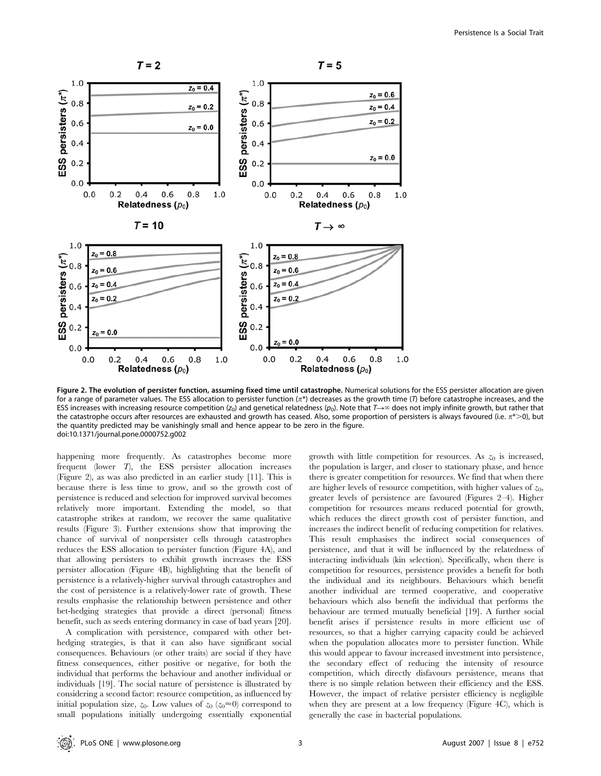

Figure 2. The evolution of persister function, assuming fixed time until catastrophe. Numerical solutions for the ESS persister allocation are given for a range of parameter values. The ESS allocation to persister function  $(\pi^*)$  decreases as the growth time (*T*) before catastrophe increases, and the ESS increases with increasing resource competition ( $z_0$ ) and genetical relatedness ( $p_0$ ). Note that  $T\rightarrow\infty$  does not imply infinite growth, but rather that the catastrophe occurs after resources are exhausted and growth has ceased. Also, some proportion of persisters is always favoured (i.e.  $\pi^*$  >0), but the quantity predicted may be vanishingly small and hence appear to be zero in the figure. doi:10.1371/journal.pone.0000752.g002

happening more frequently. As catastrophes become more frequent (lower T), the ESS persister allocation increases (Figure 2), as was also predicted in an earlier study [11]. This is because there is less time to grow, and so the growth cost of persistence is reduced and selection for improved survival becomes relatively more important. Extending the model, so that catastrophe strikes at random, we recover the same qualitative results (Figure 3). Further extensions show that improving the chance of survival of nonpersister cells through catastrophes reduces the ESS allocation to persister function (Figure 4A), and that allowing persisters to exhibit growth increases the ESS persister allocation (Figure 4B), highlighting that the benefit of persistence is a relatively-higher survival through catastrophes and the cost of persistence is a relatively-lower rate of growth. These results emphasise the relationship between persistence and other bet-hedging strategies that provide a direct (personal) fitness benefit, such as seeds entering dormancy in case of bad years [20].

A complication with persistence, compared with other bethedging strategies, is that it can also have significant social consequences. Behaviours (or other traits) are social if they have fitness consequences, either positive or negative, for both the individual that performs the behaviour and another individual or individuals [19]. The social nature of persistence is illustrated by considering a second factor: resource competition, as influenced by initial population size,  $z_0$ . Low values of  $z_0$  ( $z_0 \approx 0$ ) correspond to small populations initially undergoing essentially exponential growth with little competition for resources. As  $z_0$  is increased, the population is larger, and closer to stationary phase, and hence there is greater competition for resources. We find that when there are higher levels of resource competition, with higher values of  $z_0$ , greater levels of persistence are favoured (Figures 2–4). Higher competition for resources means reduced potential for growth, which reduces the direct growth cost of persister function, and increases the indirect benefit of reducing competition for relatives. This result emphasises the indirect social consequences of persistence, and that it will be influenced by the relatedness of interacting individuals (kin selection). Specifically, when there is competition for resources, persistence provides a benefit for both the individual and its neighbours. Behaviours which benefit another individual are termed cooperative, and cooperative behaviours which also benefit the individual that performs the behaviour are termed mutually beneficial [19]. A further social benefit arises if persistence results in more efficient use of resources, so that a higher carrying capacity could be achieved when the population allocates more to persister function. While this would appear to favour increased investment into persistence, the secondary effect of reducing the intensity of resource competition, which directly disfavours persistence, means that there is no simple relation between their efficiency and the ESS. However, the impact of relative persister efficiency is negligible when they are present at a low frequency (Figure 4C), which is generally the case in bacterial populations.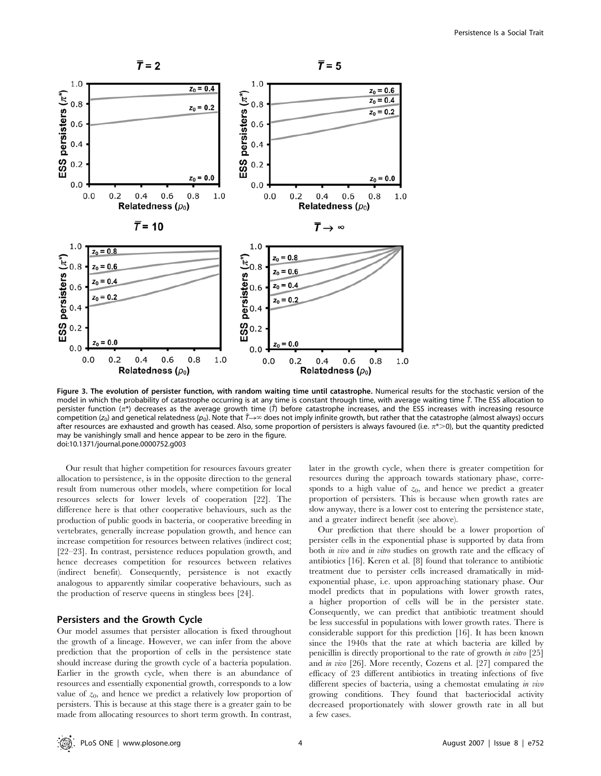

Figure 3. The evolution of persister function, with random waiting time until catastrophe. Numerical results for the stochastic version of the model in which the probability of catastrophe occurring is at any time is constant through time, with average waiting time  $\bar{\tau}$ . The ESS allocation to persister function ( $\pi^*$ ) decreases as the average growth time ( $\bar{I}$ ) before catastrophe increases, and the ESS increases with increasing resource competition ( $z_0$ ) and genetical relatedness ( $p_0$ ). Note that  $\bar{T}\rightarrow\infty$  does not imply infinite growth, but rather that the catastrophe (almost always) occurs after resources are exhausted and growth has ceased. Also, some proportion of persisters is always favoured (i.e.  $\pi$ \*>0), but the quantity predicted may be vanishingly small and hence appear to be zero in the figure. doi:10.1371/journal.pone.0000752.g003

Our result that higher competition for resources favours greater allocation to persistence, is in the opposite direction to the general result from numerous other models, where competition for local resources selects for lower levels of cooperation [22]. The difference here is that other cooperative behaviours, such as the production of public goods in bacteria, or cooperative breeding in vertebrates, generally increase population growth, and hence can increase competition for resources between relatives (indirect cost; [22–23]. In contrast, persistence reduces population growth, and hence decreases competition for resources between relatives (indirect benefit). Consequently, persistence is not exactly analogous to apparently similar cooperative behaviours, such as the production of reserve queens in stingless bees [24].

## Persisters and the Growth Cycle

Our model assumes that persister allocation is fixed throughout the growth of a lineage. However, we can infer from the above prediction that the proportion of cells in the persistence state should increase during the growth cycle of a bacteria population. Earlier in the growth cycle, when there is an abundance of resources and essentially exponential growth, corresponds to a low value of  $z_0$ , and hence we predict a relatively low proportion of persisters. This is because at this stage there is a greater gain to be made from allocating resources to short term growth. In contrast, later in the growth cycle, when there is greater competition for resources during the approach towards stationary phase, corresponds to a high value of  $z_0$ , and hence we predict a greater proportion of persisters. This is because when growth rates are slow anyway, there is a lower cost to entering the persistence state, and a greater indirect benefit (see above).

Our prediction that there should be a lower proportion of persister cells in the exponential phase is supported by data from both *in vivo* and *in vitro* studies on growth rate and the efficacy of antibiotics [16]. Keren et al. [8] found that tolerance to antibiotic treatment due to persister cells increased dramatically in midexponential phase, i.e. upon approaching stationary phase. Our model predicts that in populations with lower growth rates, a higher proportion of cells will be in the persister state. Consequently, we can predict that antibiotic treatment should be less successful in populations with lower growth rates. There is considerable support for this prediction [16]. It has been known since the 1940s that the rate at which bacteria are killed by penicillin is directly proportional to the rate of growth in vitro [25] and in vivo [26]. More recently, Cozens et al. [27] compared the efficacy of 23 different antibiotics in treating infections of five different species of bacteria, using a chemostat emulating in vivo growing conditions. They found that bacteriocidal activity decreased proportionately with slower growth rate in all but a few cases.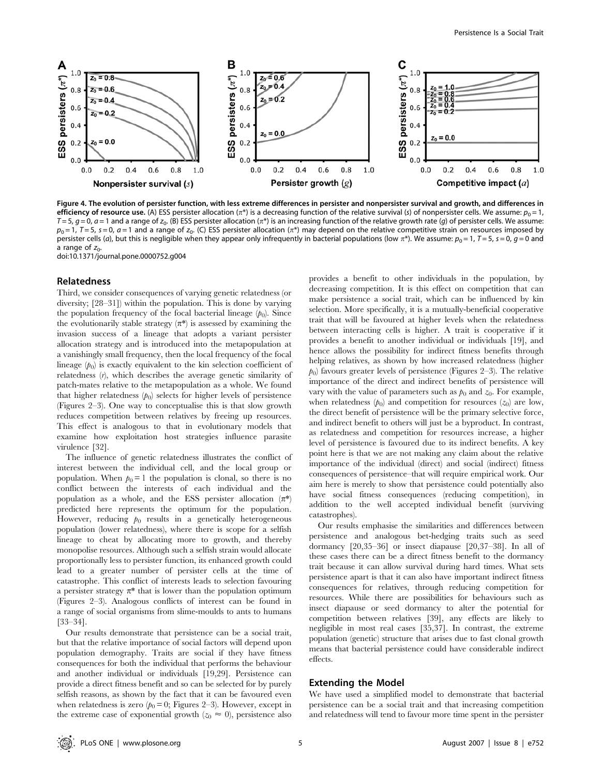

Figure 4. The evolution of persister function, with less extreme differences in persister and nonpersister survival and growth, and differences in efficiency of resource use. (A) ESS persister allocation ( $\pi^*$ ) is a decreasing function of the relative survival (s) of nonpersister cells. We assume:  $p_0 = 1$ ,  $T = 5$ ,  $q = 0$ ,  $a = 1$  and a range of  $z_0$ . (B) ESS persister allocation  $(\pi^*)$  is an increasing function of the relative growth rate (g) of persister cells. We assume:  $p_0 = 1$ ,  $T = 5$ ,  $s = 0$ ,  $a = 1$  and a range of  $z_0$ . (C) ESS persister allocation  $(\pi^*)$  may depend on the relative competitive strain on resources imposed by persister cells (a), but this is negligible when they appear only infrequently in bacterial populations (low  $\pi^*$ ). We assume:  $p_0 = 1$ ,  $T = 5$ ,  $s = 0$ ,  $q = 0$  and a range of  $z_0$ .

doi:10.1371/journal.pone.0000752.g004

#### Relatedness

Third, we consider consequences of varying genetic relatedness (or diversity; [28–31]) within the population. This is done by varying the population frequency of the focal bacterial lineage  $(p_0)$ . Since the evolutionarily stable strategy  $(\pi^*)$  is assessed by examining the invasion success of a lineage that adopts a variant persister allocation strategy and is introduced into the metapopulation at a vanishingly small frequency, then the local frequency of the focal lineage  $(p_0)$  is exactly equivalent to the kin selection coefficient of relatedness (r), which describes the average genetic similarity of patch-mates relative to the metapopulation as a whole. We found that higher relatedness  $(p_0)$  selects for higher levels of persistence (Figures 2–3). One way to conceptualise this is that slow growth reduces competition between relatives by freeing up resources. This effect is analogous to that in evolutionary models that examine how exploitation host strategies influence parasite virulence [32].

The influence of genetic relatedness illustrates the conflict of interest between the individual cell, and the local group or population. When  $p_0 = 1$  the population is clonal, so there is no conflict between the interests of each individual and the population as a whole, and the ESS persister allocation  $(\pi^*)$ predicted here represents the optimum for the population. However, reducing  $p_0$  results in a genetically heterogeneous population (lower relatedness), where there is scope for a selfish lineage to cheat by allocating more to growth, and thereby monopolise resources. Although such a selfish strain would allocate proportionally less to persister function, its enhanced growth could lead to a greater number of persister cells at the time of catastrophe. This conflict of interests leads to selection favouring a persister strategy  $\pi^*$  that is lower than the population optimum (Figures 2–3). Analogous conflicts of interest can be found in a range of social organisms from slime-moulds to ants to humans [33–34].

Our results demonstrate that persistence can be a social trait, but that the relative importance of social factors will depend upon population demography. Traits are social if they have fitness consequences for both the individual that performs the behaviour and another individual or individuals [19,29]. Persistence can provide a direct fitness benefit and so can be selected for by purely selfish reasons, as shown by the fact that it can be favoured even when relatedness is zero  $(p_0 = 0;$  Figures 2–3). However, except in the extreme case of exponential growth ( $z_0 \approx 0$ ), persistence also provides a benefit to other individuals in the population, by decreasing competition. It is this effect on competition that can make persistence a social trait, which can be influenced by kin selection. More specifically, it is a mutually-beneficial cooperative trait that will be favoured at higher levels when the relatedness between interacting cells is higher. A trait is cooperative if it provides a benefit to another individual or individuals [19], and hence allows the possibility for indirect fitness benefits through helping relatives, as shown by how increased relatedness (higher  $p<sub>0</sub>$ ) favours greater levels of persistence (Figures 2–3). The relative importance of the direct and indirect benefits of persistence will vary with the value of parameters such as  $p_0$  and  $z_0$ . For example, when relatedness  $(p_0)$  and competition for resources  $(z_0)$  are low, the direct benefit of persistence will be the primary selective force, and indirect benefit to others will just be a byproduct. In contrast, as relatedness and competition for resources increase, a higher level of persistence is favoured due to its indirect benefits. A key point here is that we are not making any claim about the relative importance of the individual (direct) and social (indirect) fitness consequences of persistence–that will require empirical work. Our aim here is merely to show that persistence could potentially also have social fitness consequences (reducing competition), in addition to the well accepted individual benefit (surviving catastrophes).

Our results emphasise the similarities and differences between persistence and analogous bet-hedging traits such as seed dormancy [20,35–36] or insect diapause [20,37–38]. In all of these cases there can be a direct fitness benefit to the dormancy trait because it can allow survival during hard times. What sets persistence apart is that it can also have important indirect fitness consequences for relatives, through reducing competition for resources. While there are possibilities for behaviours such as insect diapause or seed dormancy to alter the potential for competition between relatives [39], any effects are likely to negligible in most real cases [35,37]. In contrast, the extreme population (genetic) structure that arises due to fast clonal growth means that bacterial persistence could have considerable indirect effects.

## Extending the Model

We have used a simplified model to demonstrate that bacterial persistence can be a social trait and that increasing competition and relatedness will tend to favour more time spent in the persister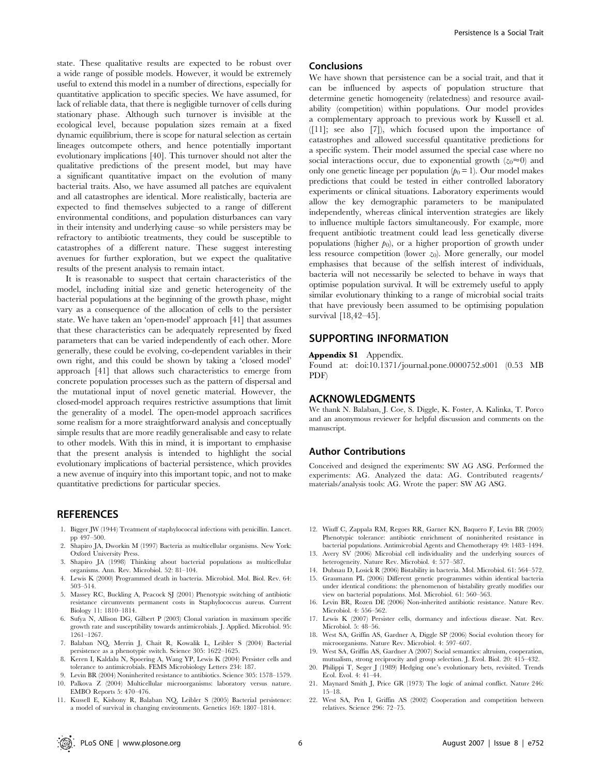state. These qualitative results are expected to be robust over a wide range of possible models. However, it would be extremely useful to extend this model in a number of directions, especially for quantitative application to specific species. We have assumed, for lack of reliable data, that there is negligible turnover of cells during stationary phase. Although such turnover is invisible at the ecological level, because population sizes remain at a fixed dynamic equilibrium, there is scope for natural selection as certain lineages outcompete others, and hence potentially important evolutionary implications [40]. This turnover should not alter the qualitative predictions of the present model, but may have a significant quantitative impact on the evolution of many bacterial traits. Also, we have assumed all patches are equivalent and all catastrophes are identical. More realistically, bacteria are expected to find themselves subjected to a range of different environmental conditions, and population disturbances can vary in their intensity and underlying cause–so while persisters may be refractory to antibiotic treatments, they could be susceptible to catastrophes of a different nature. These suggest interesting avenues for further exploration, but we expect the qualitative results of the present analysis to remain intact.

It is reasonable to suspect that certain characteristics of the model, including initial size and genetic heterogeneity of the bacterial populations at the beginning of the growth phase, might vary as a consequence of the allocation of cells to the persister state. We have taken an 'open-model' approach [41] that assumes that these characteristics can be adequately represented by fixed parameters that can be varied independently of each other. More generally, these could be evolving, co-dependent variables in their own right, and this could be shown by taking a 'closed model' approach [41] that allows such characteristics to emerge from concrete population processes such as the pattern of dispersal and the mutational input of novel genetic material. However, the closed-model approach requires restrictive assumptions that limit the generality of a model. The open-model approach sacrifices some realism for a more straightforward analysis and conceptually simple results that are more readily generalisable and easy to relate to other models. With this in mind, it is important to emphasise that the present analysis is intended to highlight the social evolutionary implications of bacterial persistence, which provides a new avenue of inquiry into this important topic, and not to make quantitative predictions for particular species.

## **REFERENCES**

- 1. Bigger JW (1944) Treatment of staphylococcal infections with penicillin. Lancet. pp 497–500.
- Shapiro JA, Dworkin M (1997) Bacteria as multicellular organisms. New York: Oxford University Press.
- 3. Shapiro JA (1998) Thinking about bacterial populations as multicellular organisms. Ann. Rev. Microbiol. 52: 81–104.
- 4. Lewis K (2000) Programmed death in bacteria. Microbiol. Mol. Biol. Rev. 64: 503–514.
- 5. Massey RC, Buckling A, Peacock SJ (2001) Phenotypic switching of antibiotic resistance circumvents permanent costs in Staphylococcus aureus. Current Biology 11: 1810–1814.
- 6. Sufya N, Allison DG, Gilbert P (2003) Clonal variation in maximum specific growth rate and susceptibility towards antimicrobials. J. Applied. Microbiol. 95: 1261–1267.
- 7. Balaban NQ, Merrin J, Chait R, Kowalik L, Leibler S (2004) Bacterial persistence as a phenotypic switch. Science 305: 1622–1625.
- 8. Keren I, Kaldalu N, Spoering A, Wang YP, Lewis K (2004) Persister cells and tolerance to antimicrobials. FEMS Microbiology Letters 234: 187.
- 9. Levin BR (2004) Noninherited resistance to antibiotics. Science 305: 1578–1579. 10. Palkova Z (2004) Multicellular microorganisms: laboratory versus nature.
- EMBO Reports 5: 470–476. 11. Kussell E, Kishony R, Balaban NQ, Leibler S (2005) Bacterial persistence: a model of survival in changing environments. Genetics 169: 1807–1814.

Persistence Is a Social Trait

can be influenced by aspects of population structure that determine genetic homogeneity (relatedness) and resource availability (competition) within populations. Our model provides a complementary approach to previous work by Kussell et al. ([11]; see also [7]), which focused upon the importance of catastrophes and allowed successful quantitative predictions for a specific system. Their model assumed the special case where no social interactions occur, due to exponential growth  $(z_0 \approx 0)$  and only one genetic lineage per population  $(p_0 = 1)$ . Our model makes predictions that could be tested in either controlled laboratory experiments or clinical situations. Laboratory experiments would allow the key demographic parameters to be manipulated independently, whereas clinical intervention strategies are likely to influence multiple factors simultaneously. For example, more frequent antibiotic treatment could lead less genetically diverse populations (higher  $p_0$ ), or a higher proportion of growth under less resource competition (lower  $z_0$ ). More generally, our model emphasises that because of the selfish interest of individuals, bacteria will not necessarily be selected to behave in ways that optimise population survival. It will be extremely useful to apply similar evolutionary thinking to a range of microbial social traits that have previously been assumed to be optimising population survival [18,42–45].

## SUPPORTING INFORMATION

## Appendix S1 Appendix.

Conclusions

Found at: doi:10.1371/journal.pone.0000752.s001 (0.53 MB PDF)

## ACKNOWLEDGMENTS

We thank N. Balaban, J. Coe, S. Diggle, K. Foster, A. Kalinka, T. Porco and an anonymous reviewer for helpful discussion and comments on the manuscript.

## Author Contributions

Conceived and designed the experiments: SW AG ASG. Performed the experiments: AG. Analyzed the data: AG. Contributed reagents/ materials/analysis tools: AG. Wrote the paper: SW AG ASG.

- 12. Wiuff C, Zappala RM, Regoes RR, Garner KN, Baquero F, Levin BR (2005) Phenotypic tolerance: antibiotic enrichment of noninherited resistance in bacterial populations. Antimicrobial Agents and Chemotherapy 49: 1483–1494.
- 13. Avery SV (2006) Microbial cell individuality and the underlying sources of heterogeneity. Nature Rev. Microbiol. 4: 577–587.
- 14. Dubnau D, Losick R (2006) Bistability in bacteria. Mol. Microbiol. 61: 564–572.
- 15. Graumann PL (2006) Different genetic programmes within identical bacteria under identical conditions: the phenomenon of bistability greatly modifies our view on bacterial populations. Mol. Microbiol. 61: 560–563.
- 16. Levin BR, Rozen DE (2006) Non-inherited antibiotic resistance. Nature Rev. Microbiol. 4: 556–562.
- 17. Lewis K (2007) Persister cells, dormancy and infectious disease. Nat. Rev. Microbiol. 5: 48–56.
- 18. West SA, Griffin AS, Gardner A, Diggle SP (2006) Social evolution theory for microorganisms. Nature Rev. Microbiol. 4: 597–607.
- 19. West SA, Griffin AS, Gardner A (2007) Social semantics: altruism, cooperation, mutualism, strong reciprocity and group selection. J. Evol. Biol. 20: 415–432.
- 20. Philippi T, Seger J (1989) Hedging one's evolutionary bets, revisited. Trends Ecol. Evol. 4: 41–44.
- 21. Maynard Smith J, Price GR (1973) The logic of animal conflict. Nature 246: 15–18.
- 22. West SA, Pen I, Griffin AS (2002) Cooperation and competition between relatives. Science 296: 72–75.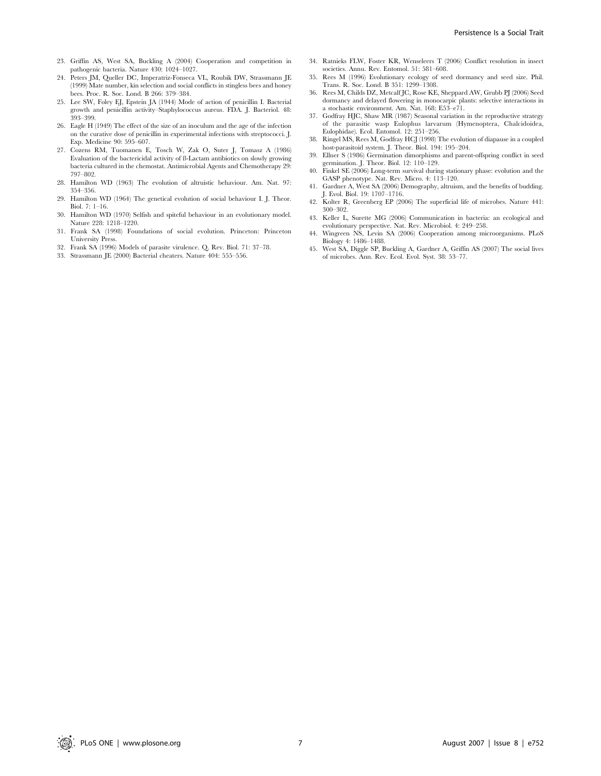- 23. Griffin AS, West SA, Buckling A (2004) Cooperation and competition in pathogenic bacteria. Nature 430: 1024–1027.
- 24. Peters JM, Queller DC, Imperatriz-Fonseca VL, Roubik DW, Strassmann JE (1999) Mate number, kin selection and social conflicts in stingless bees and honey bees. Proc. R. Soc. Lond. B 266: 379–384.
- 25. Lee SW, Foley EJ, Epstein JA (1944) Mode of action of penicillin I. Bacterial growth and penicillin activity–Staphylococcus aureus. FDA. J. Bacteriol. 48: 393–399.
- 26. Eagle H (1949) The effect of the size of an inoculum and the age of the infection on the curative dose of penicillin in experimental infections with streptococci. J. Exp. Medicine 90: 595–607.
- 27. Cozens RM, Tuomanen E, Tosch W, Zak O, Suter J, Tomasz A (1986) Evaluation of the bactericidal activity of ß-Lactam antibiotics on slowly growing bacteria cultured in the chemostat. Antimicrobial Agents and Chemotherapy 29: 797–802.
- 28. Hamilton WD (1963) The evolution of altruistic behaviour. Am. Nat. 97: 354–356.
- 29. Hamilton WD (1964) The genetical evolution of social behaviour I. J. Theor. Biol. 7: 1–16.
- 30. Hamilton WD (1970) Selfish and spiteful behaviour in an evolutionary model. Nature 228: 1218–1220.
- 31. Frank SA (1998) Foundations of social evolution. Princeton: Princeton University Press.
- 32. Frank SA (1996) Models of parasite virulence. Q. Rev. Biol. 71: 37–78.
- 33. Strassmann JE (2000) Bacterial cheaters. Nature 404: 555–556.
- 34. Ratnieks FLW, Foster KR, Wenseleers T (2006) Conflict resolution in insect societies. Annu. Rev. Entomol. 51: 581–608.
- 35. Rees M (1996) Evolutionary ecology of seed dormancy and seed size. Phil. Trans. R. Soc. Lond. B 351: 1299–1308.
- 36. Rees M, Childs DZ, Metcalf JC, Rose KE, Sheppard AW, Grubb PJ (2006) Seed dormancy and delayed flowering in monocarpic plants: selective interactions in a stochastic environment. Am. Nat. 168: E53–e71.
- 37. Godfray HJC, Shaw MR (1987) Seasonal variation in the reproductive strategy of the parasitic wasp Eulophus larvarum (Hymenoptera, Chalcidoidea, Eulophidae). Ecol. Entomol. 12: 251–256.
- 38. Ringel MS, Rees M, Godfray HCJ (1998) The evolution of diapause in a coupled host-parasitoid system. J. Theor. Biol. 194: 195–204.
- 39. Ellner S (1986) Germination dimorphisms and parent-offspring conflict in seed germination. J. Theor. Biol. 12: 110–129.
- 40. Finkel SE (2006) Long-term survival during stationary phase: evolution and the GASP phenotype. Nat. Rev. Micro. 4: 113–120.
- 41. Gardner A, West SA (2006) Demography, altruism, and the benefits of budding. J. Evol. Biol. 19: 1707–1716.
- 42. Kolter R, Greenberg EP (2006) The superficial life of microbes. Nature 441: 300–302.
- 43. Keller L, Surette MG (2006) Communication in bacteria: an ecological and
- evolutionary perspective. Nat. Rev. Microbiol. 4: 249–258. 44. Wingreen NS, Levin SA (2006) Cooperation among microorganisms. PLoS Biology 4: 1486–1488.
- 45. West SA, Diggle SP, Buckling A, Gardner A, Griffin AS (2007) The social lives of microbes. Ann. Rev. Ecol. Evol. Syst. 38: 53–77.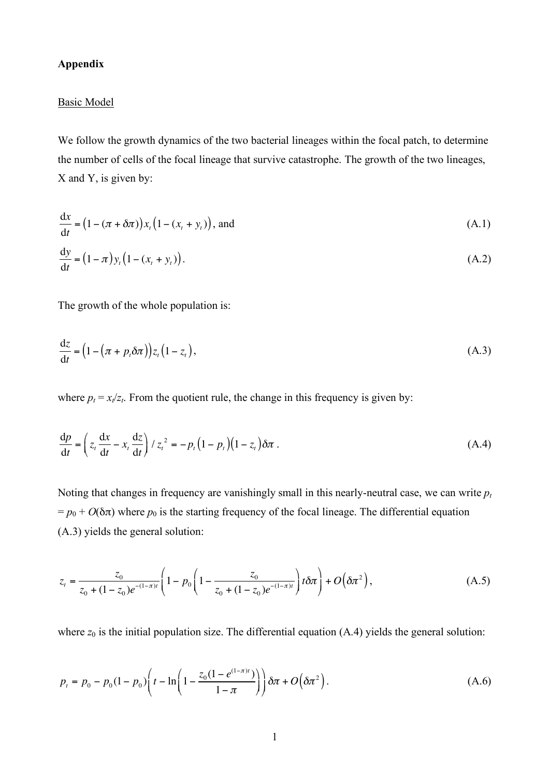# **Appendix**

# Basic Model

We follow the growth dynamics of the two bacterial lineages within the focal patch, to determine the number of cells of the focal lineage that survive catastrophe. The growth of the two lineages, X and Y, is given by:

$$
\frac{\mathrm{d}x}{\mathrm{d}t} = (1 - (\pi + \delta\pi))x_t(1 - (x_t + y_t)),
$$
 and  
\n
$$
\frac{\mathrm{d}y}{\mathrm{d}t} = (1 - \pi)y_t(1 - (x_t + y_t)).
$$
\n(A.1)

The growth of the whole population is:

$$
\frac{\mathrm{d}z}{\mathrm{d}t} = \left(1 - \left(\pi + p_t \delta \pi\right)\right) z_t \left(1 - z_t\right),\tag{A.3}
$$

where  $p_t = x_t / z_t$ . From the quotient rule, the change in this frequency is given by:

$$
\frac{dp}{dt} = \left(z_t \frac{dx}{dt} - x_t \frac{dz}{dt}\right) / z_t^2 = -p_t \left(1 - p_t\right) \left(1 - z_t\right) \delta \pi \,.
$$
\n(A.4)

Noting that changes in frequency are vanishingly small in this nearly-neutral case, we can write  $p_t$  $= p_0 + O(\delta \pi)$  where  $p_0$  is the starting frequency of the focal lineage. The differential equation (A.3) yields the general solution:

$$
z_{t} = \frac{z_{0}}{z_{0} + (1 - z_{0})e^{-(1 - \pi)t}} \left(1 - p_{0}\left(1 - \frac{z_{0}}{z_{0} + (1 - z_{0})e^{-(1 - \pi)t}}\right)t\delta\pi\right) + O\left(\delta\pi^{2}\right),\tag{A.5}
$$

where  $z_0$  is the initial population size. The differential equation  $(A.4)$  yields the general solution:

$$
p_t = p_0 - p_0(1 - p_0) \left( t - \ln \left( 1 - \frac{z_0 (1 - e^{(1 - \pi)t})}{1 - \pi} \right) \right) \delta \pi + O\big(\delta \pi^2\big).
$$
 (A.6)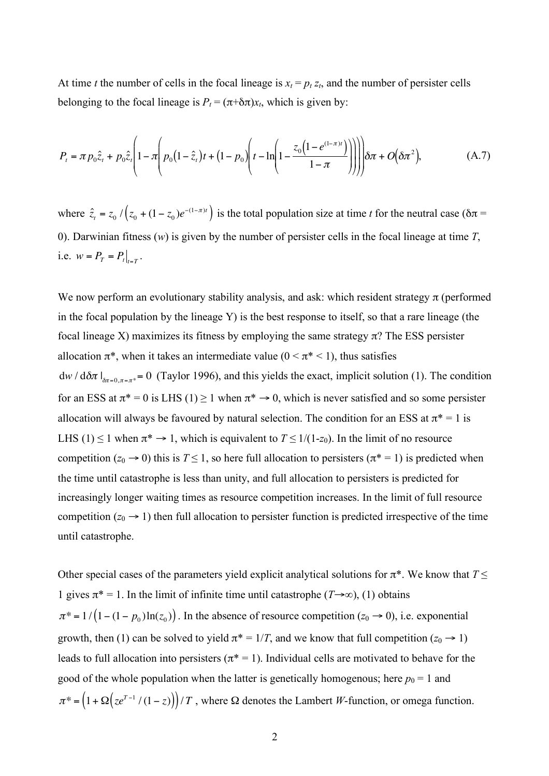At time *t* the number of cells in the focal lineage is  $x_t = p_t z_t$ , and the number of persister cells belonging to the focal lineage is  $P_t = (\pi + \delta \pi)x_t$ , which is given by:

$$
P_{t} = \pi p_{0} \hat{z}_{t} + p_{0} \hat{z}_{t} \left( 1 - \pi \left( p_{0} \left( 1 - \hat{z}_{t} \right) t + \left( 1 - p_{0} \right) \left( t - \ln \left( 1 - \frac{z_{0} \left( 1 - e^{(1 - \pi)t} \right)}{1 - \pi} \right) \right) \right) \right) \delta \pi + O\left(\delta \pi^{2}\right),\tag{A.7}
$$

where  $\hat{z}_t = z_0 / (z_0 + (1 - z_0)e^{-(1 - \pi)t})$  is the total population size at time *t* for the neutral case ( $\delta \pi$  = 0). Darwinian fitness (*w*) is given by the number of persister cells in the focal lineage at time *T*, i.e.  $w = P_T = P_t \big|_{t=T}$ .

We now perform an evolutionary stability analysis, and ask: which resident strategy  $\pi$  (performed in the focal population by the lineage Y) is the best response to itself, so that a rare lineage (the focal lineage X) maximizes its fitness by employing the same strategy  $\pi$ ? The ESS persister allocation  $\pi^*$ , when it takes an intermediate value  $(0 \le \pi^* \le 1)$ , thus satisfies  $dw / d\delta \pi l_{\delta \pi = 0, \pi = \pi^*} = 0$  (Taylor 1996), and this yields the exact, implicit solution (1). The condition for an ESS at  $\pi^* = 0$  is LHS (1)  $\geq 1$  when  $\pi^* \to 0$ , which is never satisfied and so some persister allocation will always be favoured by natural selection. The condition for an ESS at  $\pi^* = 1$  is LHS (1)  $\leq$  1 when  $\pi^* \to 1$ , which is equivalent to  $T \leq 1/(1-z_0)$ . In the limit of no resource competition ( $z_0 \rightarrow 0$ ) this is  $T \le 1$ , so here full allocation to persisters ( $\pi^* = 1$ ) is predicted when the time until catastrophe is less than unity, and full allocation to persisters is predicted for increasingly longer waiting times as resource competition increases. In the limit of full resource competition  $(z_0 \rightarrow 1)$  then full allocation to persister function is predicted irrespective of the time until catastrophe.

Other special cases of the parameters yield explicit analytical solutions for  $\pi^*$ . We know that  $T \leq$ 1 gives  $\pi^* = 1$ . In the limit of infinite time until catastrophe (*T*→∞), (1) obtains  $\pi^* = 1 / (1 - (1 - p_0) \ln(z_0))$ . In the absence of resource competition ( $z_0 \rightarrow 0$ ), i.e. exponential growth, then (1) can be solved to yield  $\pi^* = 1/T$ , and we know that full competition ( $z_0 \rightarrow 1$ ) leads to full allocation into persisters ( $\pi^* = 1$ ). Individual cells are motivated to behave for the good of the whole population when the latter is genetically homogenous; here  $p_0 = 1$  and  $\pi^* = (1 + \Omega(ze^{T-1}/(1-z)))/T$ , where  $\Omega$  denotes the Lambert *W*-function, or omega function.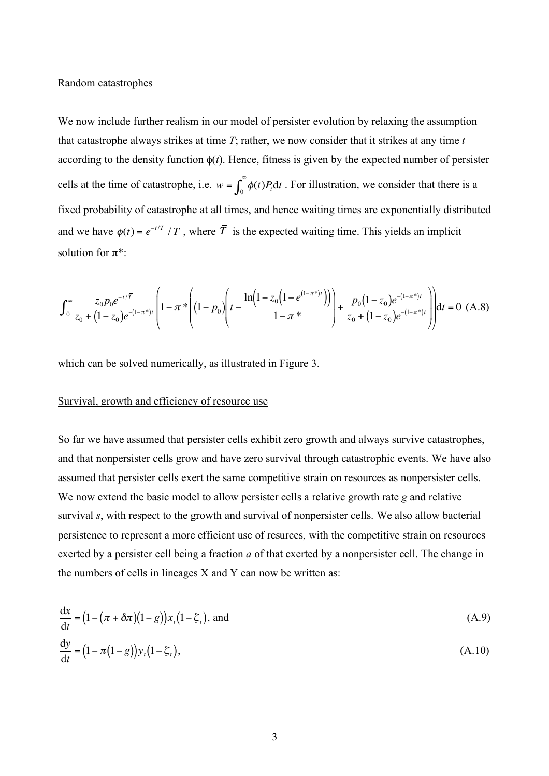# Random catastrophes

We now include further realism in our model of persister evolution by relaxing the assumption that catastrophe always strikes at time *T*; rather, we now consider that it strikes at any time *t* according to the density function  $\phi(t)$ . Hence, fitness is given by the expected number of persister cells at the time of catastrophe, i.e.  $w = \int_0^\infty \phi(t) P_t dt$ . For illustration, we consider that there is a fixed probability of catastrophe at all times, and hence waiting times are exponentially distributed and we have  $\phi(t) = e^{-t/T}/T$ , where  $\overline{T}$  is the expected waiting time. This yields an implicit solution for  $\pi^*$ :

$$
\int_0^\infty \frac{z_0 p_0 e^{-t/\overline{T}}}{z_0 + (1 - z_0)e^{-(1 - \pi^*)t}} \left(1 - \pi^* \left(1 - p_0\right) \left(t - \frac{\ln\left(1 - z_0\left(1 - e^{(1 - \pi^*)t}\right)\right)}{1 - \pi^*}\right) + \frac{p_0(1 - z_0)e^{-(1 - \pi^*)t}}{z_0 + (1 - z_0)e^{-(1 - \pi^*)t}}\right)\right) dt = 0 \text{ (A.8)}
$$

which can be solved numerically, as illustrated in Figure 3.

# Survival, growth and efficiency of resource use

So far we have assumed that persister cells exhibit zero growth and always survive catastrophes, and that nonpersister cells grow and have zero survival through catastrophic events. We have also assumed that persister cells exert the same competitive strain on resources as nonpersister cells. We now extend the basic model to allow persister cells a relative growth rate *g* and relative survival *s*, with respect to the growth and survival of nonpersister cells. We also allow bacterial persistence to represent a more efficient use of resurces, with the competitive strain on resources exerted by a persister cell being a fraction *a* of that exerted by a nonpersister cell. The change in the numbers of cells in lineages X and Y can now be written as:

$$
\frac{dx}{dt} = (1 - (\pi + \delta\pi)(1 - g))x_t(1 - \xi_t),
$$
 and  
\n
$$
\frac{dy}{dt} = (1 - \pi(1 - g))y_t(1 - \xi_t),
$$
\n(A.10)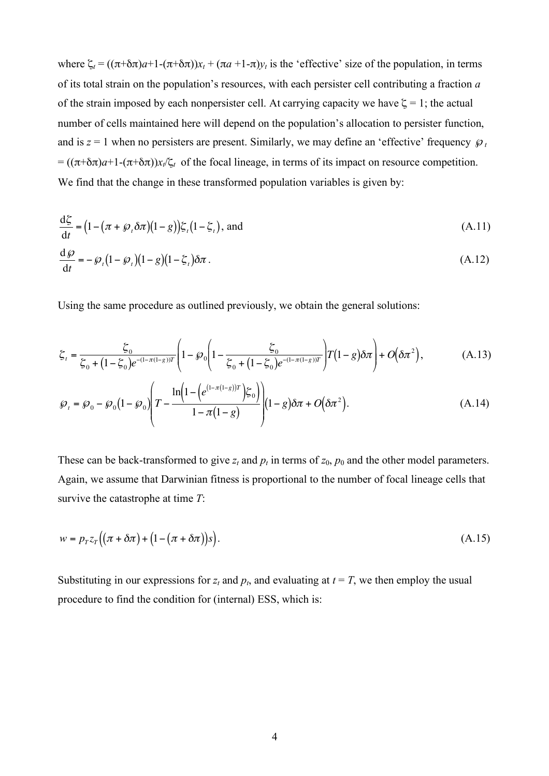where  $\zeta_t = ((\pi + \delta \pi)a + 1 - (\pi + \delta \pi))x_t + (\pi a + 1 - \pi)y_t$  is the 'effective' size of the population, in terms of its total strain on the population's resources, with each persister cell contributing a fraction *a* of the strain imposed by each nonpersister cell. At carrying capacity we have  $\zeta = 1$ ; the actual number of cells maintained here will depend on the population's allocation to persister function, and is  $z = 1$  when no persisters are present. Similarly, we may define an 'effective' frequency  $\mathcal{P}_t$  $= ((\pi + \delta \pi)a + 1 - (\pi + \delta \pi))x_t/\zeta_t$  of the focal lineage, in terms of its impact on resource competition. We find that the change in these transformed population variables is given by:

$$
\frac{\mathrm{d}\zeta}{\mathrm{d}t} = \left(1 - \left(\pi + \wp_t \delta \pi\right)\left(1 - g\right)\right)\zeta_t\left(1 - \zeta_t\right), \text{ and} \tag{A.11}
$$

$$
\frac{\mathrm{d}\,\wp}{\mathrm{d}t} = -\,\wp_{t}\big(1-\,\wp_{t}\big)\big(1-\,\zeta_{t}\big)\delta\pi\,. \tag{A.12}
$$

Using the same procedure as outlined previously, we obtain the general solutions:

$$
\xi_t = \frac{\xi_0}{\xi_0 + (1 - \xi_0)e^{-(1 - \pi(1 - g))T}} \left(1 - \wp_0 \left(1 - \frac{\xi_0}{\xi_0 + (1 - \xi_0)e^{-(1 - \pi(1 - g))T}}\right) T(1 - g) \delta \pi\right) + O(\delta \pi^2),\tag{A.13}
$$

$$
\wp_{t} = \wp_{0} - \wp_{0} \left(1 - \wp_{0}\right) \left( T - \frac{\ln\left(1 - \left(e^{(1-\pi(1-g))T}\right)\xi_{0}\right)}{1 - \pi(1-g)}\right) \left(1 - g\right) \delta \pi + O\left(\delta \pi^{2}\right). \tag{A.14}
$$

These can be back-transformed to give  $z_t$  and  $p_t$  in terms of  $z_0$ ,  $p_0$  and the other model parameters. Again, we assume that Darwinian fitness is proportional to the number of focal lineage cells that survive the catastrophe at time *T*:

$$
w = p_T z_T \left( (\pi + \delta \pi) + (1 - (\pi + \delta \pi))s \right).
$$
\n(A.15)

Substituting in our expressions for  $z_t$  and  $p_t$ , and evaluating at  $t = T$ , we then employ the usual procedure to find the condition for (internal) ESS, which is: